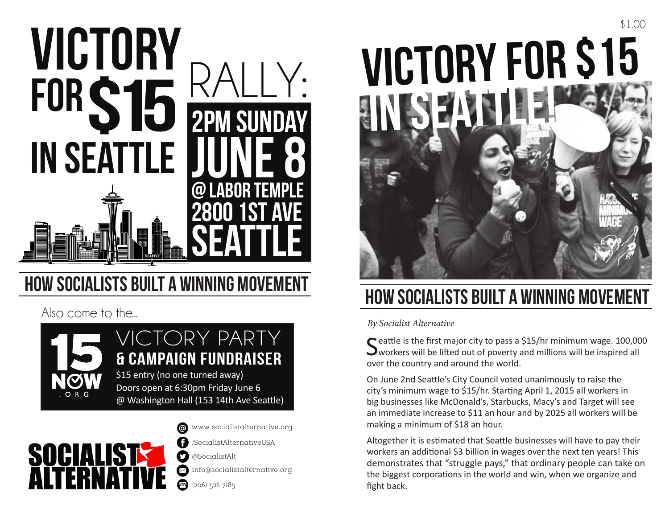

# **HOW SOCIALISTS BUILT**

Also come to the...





www.socialistalternative.org @ A /SocialistAlternativeUSA 0 @SocialistAlt info@socialistalternative.org  $\bigcirc$  (206) 526 7185



## **HOW SOCIALISTS BUILT A WINNING M**

*By Socialist Alternative*

C eattle is the first major city to pass a \$15/hr minimum wage. 100,000  $\sum$  workers will be lifted out of poverty and millions will be inspired all over the country and around the world.

On June 2nd Seattle's City Council voted unanimously to raise the city's minimum wage to \$15/hr. Starting April 1, 2015 all workers in big businesses like McDonald's, Starbucks, Macy's and Target will see an immediate increase to \$11 an hour and by 2025 all workers will be making a minimum of \$18 an hour.

Altogether it is estimated that Seattle businesses will have to pay their workers an additional \$3 billion in wages over the next ten years! This demonstrates that "struggle pays," that ordinary people can take on the biggest corporations in the world and win, when we organize and fight back.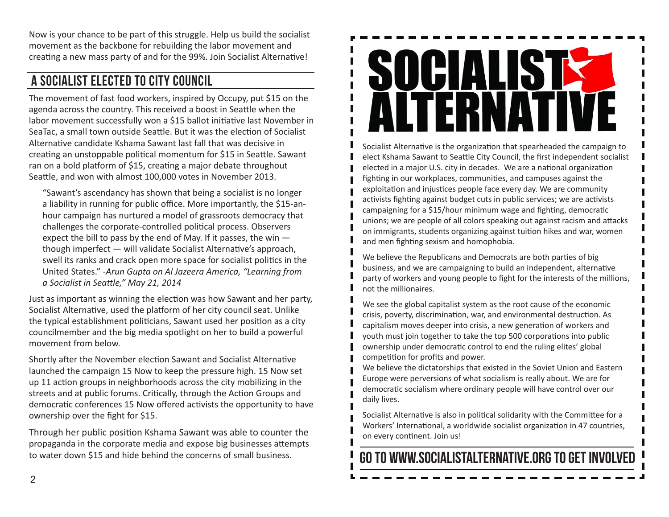Now is your chance to be part of this struggle. Help us build the socialist movement as the backbone for rebuilding the labor movement and creating a new mass party of and for the 99%. Join Socialist Alternative!

### A Socialist ELECTED TO CITY COUNCIL

The movement of fast food workers, inspired by Occupy, put \$15 on the agenda across the country. This received a boost in Seattle when the labor movement successfully won a \$15 ballot initiative last November in SeaTac, a small town outside Seattle. But it was the election of Socialist Alternative candidate Kshama Sawant last fall that was decisive in creating an unstoppable political momentum for \$15 in Seattle. Sawant ran on a bold platform of \$15, creating a major debate throughout Seattle, and won with almost 100,000 votes in November 2013.

"Sawant's ascendancy has shown that being a socialist is no longer a liability in running for public office. More importantly, the \$15-anhour campaign has nurtured a model of grassroots democracy that challenges the corporate-controlled political process. Observers expect the bill to pass by the end of May. If it passes, the win though imperfect — will validate Socialist Alternative's approach, swell its ranks and crack open more space for socialist politics in the United States." *-Arun Gupta on Al Jazeera America, "Learning from a Socialist in Seattle," May 21, 2014*

Just as important as winning the election was how Sawant and her party, Socialist Alternative, used the platform of her city council seat. Unlike the typical establishment politicians, Sawant used her position as a city councilmember and the big media spotlight on her to build a powerful movement from below.

Shortly after the November election Sawant and Socialist Alternative launched the campaign 15 Now to keep the pressure high. 15 Now set up 11 action groups in neighborhoods across the city mobilizing in the streets and at public forums. Critically, through the Action Groups and democratic conferences 15 Now offered activists the opportunity to have ownership over the fight for \$15.

Through her public position Kshama Sawant was able to counter the propaganda in the corporate media and expose big businesses attempts to water down \$15 and hide behind the concerns of small business.



Socialist Alternative is the organization that spearheaded the campaign to elect Kshama Sawant to Seattle City Council, the first independent socialist elected in a major U.S. city in decades. We are a national organization fighting in our workplaces, communities, and campuses against the exploitation and injustices people face every day. We are community activists fighting against budget cuts in public services; we are activists campaigning for a \$15/hour minimum wage and fighting, democratic unions; we are people of all colors speaking out against racism and attacks on immigrants, students organizing against tuition hikes and war, women and men fighting sexism and homophobia.

We believe the Republicans and Democrats are both parties of big business, and we are campaigning to build an independent, alternative party of workers and young people to fight for the interests of the millions, not the millionaires.

We see the global capitalist system as the root cause of the economic crisis, poverty, discrimination, war, and environmental destruction. As capitalism moves deeper into crisis, a new generation of workers and youth must join together to take the top 500 corporations into public ownership under democratic control to end the ruling elites' global competition for profits and power.

We believe the dictatorships that existed in the Soviet Union and Eastern Europe were perversions of what socialism is really about. We are for democratic socialism where ordinary people will have control over our daily lives.

Socialist Alternative is also in political solidarity with the Committee for a Workers' International, a worldwide socialist organization in 47 countries, on every continent. Join us!

### GO TO WWW.SOCIALISTALTERNATIVE.ORG TO GET INVOLV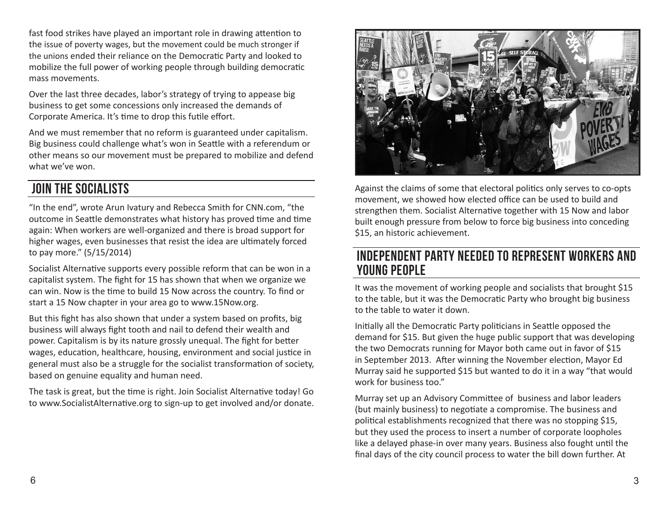fast food strikes have played an important role in drawing attention to the issue of poverty wages, but the movement could be much stronger if the unions ended their reliance on the Democratic Party and looked to mobilize the full power of working people through building democratic mass movements.

Over the last three decades, labor's strategy of trying to appease big business to get some concessions only increased the demands of Corporate America. It's time to drop this futile effort.

And we must remember that no reform is guaranteed under capitalism. Big business could challenge what's won in Seattle with a referendum or other means so our movement must be prepared to mobilize and defend what we've won.

### JOIN THE SOCIALISTS

"In the end", wrote Arun Ivatury and Rebecca Smith for CNN.com, "the outcome in Seattle demonstrates what history has proved time and time again: When workers are well-organized and there is broad support for higher wages, even businesses that resist the idea are ultimately forced to pay more." (5/15/2014)

Socialist Alternative supports every possible reform that can be won in a capitalist system. The fight for 15 has shown that when we organize we can win. Now is the time to build 15 Now across the country. To find or start a 15 Now chapter in your area go to www.15Now.org.

But this fight has also shown that under a system based on profits, big business will always fight tooth and nail to defend their wealth and power. Capitalism is by its nature grossly unequal. The fight for better wages, education, healthcare, housing, environment and social justice in general must also be a struggle for the socialist transformation of society, based on genuine equality and human need.

The task is great, but the time is right. Join Socialist Alternative today! Go to www.SocialistAlternative.org to sign-up to get involved and/or donate.



Against the claims of some that electoral politics only serves to co-opts movement, we showed how elected office can be used to build and strengthen them. Socialist Alternative together with 15 Now and labor built enough pressure from below to force big business into conceding \$15, an historic achievement.

#### Independent Party Needed to Represent Workers and YOUNG PEOPLE

It was the movement of working people and socialists that brought \$15 to the table, but it was the Democratic Party who brought big business to the table to water it down.

Initially all the Democratic Party politicians in Seattle opposed the demand for \$15. But given the huge public support that was developing the two Democrats running for Mayor both came out in favor of \$15 in September 2013. After winning the November election, Mayor Ed Murray said he supported \$15 but wanted to do it in a way "that would work for business too."

Murray set up an Advisory Committee of business and labor leaders (but mainly business) to negotiate a compromise. The business and political establishments recognized that there was no stopping \$15, but they used the process to insert a number of corporate loopholes like a delayed phase-in over many years. Business also fought until the final days of the city council process to water the bill down further. At